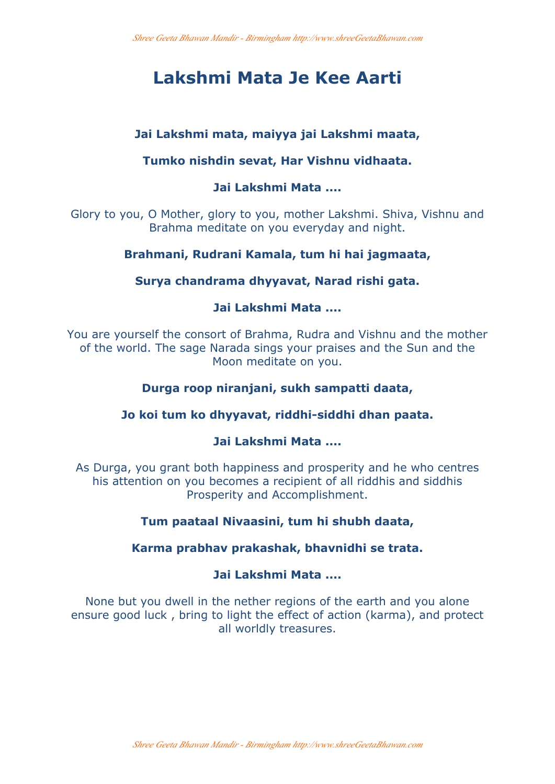# **Lakshmi Mata Je Kee Aarti**

# **Jai Lakshmi mata, maiyya jai Lakshmi maata,**

# **Tumko nishdin sevat, Har Vishnu vidhaata.**

# **Jai Lakshmi Mata ....**

Glory to you, O Mother, glory to you, mother Lakshmi. Shiva, Vishnu and Brahma meditate on you everyday and night.

# **Brahmani, Rudrani Kamala, tum hi hai jagmaata,**

# **Surya chandrama dhyyavat, Narad rishi gata.**

## **Jai Lakshmi Mata ....**

You are yourself the consort of Brahma, Rudra and Vishnu and the mother of the world. The sage Narada sings your praises and the Sun and the Moon meditate on you.

# **Durga roop niranjani, sukh sampatti daata,**

# **Jo koi tum ko dhyyavat, riddhi-siddhi dhan paata.**

## **Jai Lakshmi Mata ....**

As Durga, you grant both happiness and prosperity and he who centres his attention on you becomes a recipient of all riddhis and siddhis Prosperity and Accomplishment.

# **Tum paataal Nivaasini, tum hi shubh daata,**

## **Karma prabhav prakashak, bhavnidhi se trata.**

# **Jai Lakshmi Mata ....**

None but you dwell in the nether regions of the earth and you alone ensure good luck , bring to light the effect of action (karma), and protect all worldly treasures.